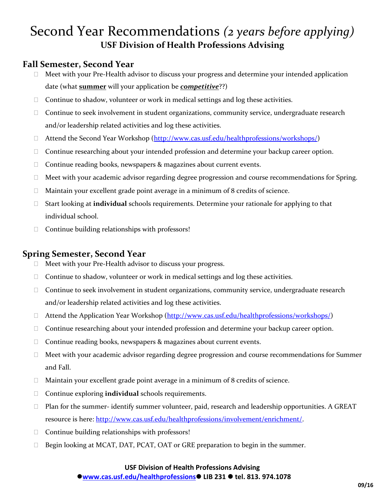## Second Year Recommendations *(2 years before applying)* **USF Division of Health Professions Advising**

### **Fall Semester, Second Year**

- $\Box$  Meet with your Pre-Health advisor to discuss your progress and determine your intended application date (what **summer** will your application be *competitive*??)
- $\Box$  Continue to shadow, volunteer or work in medical settings and log these activities.
- $\Box$  Continue to seek involvement in student organizations, community service, undergraduate research and/or leadership related activities and log these activities.
- □ Attend the Second Year Workshop [\(http://www.cas.usf.edu/healthprofessions/workshops/\)](http://www.cas.usf.edu/healthprofessions/workshops/)
- $\Box$  Continue researching about your intended profession and determine your backup career option.
- $\Box$  Continue reading books, newspapers & magazines about current events.
- $\Box$  Meet with your academic advisor regarding degree progression and course recommendations for Spring.
- $\Box$  Maintain your excellent grade point average in a minimum of 8 credits of science.
- Start looking at **individual** schools requirements. Determine your rationale for applying to that individual school.
- $\Box$  Continue building relationships with professors!

### **Spring Semester, Second Year**

- $\Box$  Meet with your Pre-Health advisor to discuss your progress.
- $\Box$  Continue to shadow, volunteer or work in medical settings and log these activities.
- □ Continue to seek involvement in student organizations, community service, undergraduate research and/or leadership related activities and log these activities.
- □ Attend the Application Year Workshop [\(http://www.cas.usf.edu/healthprofessions/workshops/\)](http://www.cas.usf.edu/healthprofessions/workshops/)
- □ Continue researching about your intended profession and determine your backup career option.
- $\Box$  Continue reading books, newspapers & magazines about current events.
- $\Box$  Meet with your academic advisor regarding degree progression and course recommendations for Summer and Fall.
- $\Box$  Maintain your excellent grade point average in a minimum of 8 credits of science.
- Continue exploring **individual** schools requirements.
- $\Box$  Plan for the summer-identify summer volunteer, paid, research and leadership opportunities. A GREAT resource is here: [http://www.cas.usf.edu/healthprofessions/involvement/enrichment/.](http://www.cas.usf.edu/healthprofessions/involvement/enrichment/)
- $\Box$  Continue building relationships with professors!
- $\Box$  Begin looking at MCAT, DAT, PCAT, OAT or GRE preparation to begin in the summer.

#### **USF Division of Health Professions Advising [www.cas.usf.edu/healthprofessions](http://www.cas.usf.edu/healthprofessions) LIB 231 tel. 813. 974.1078**